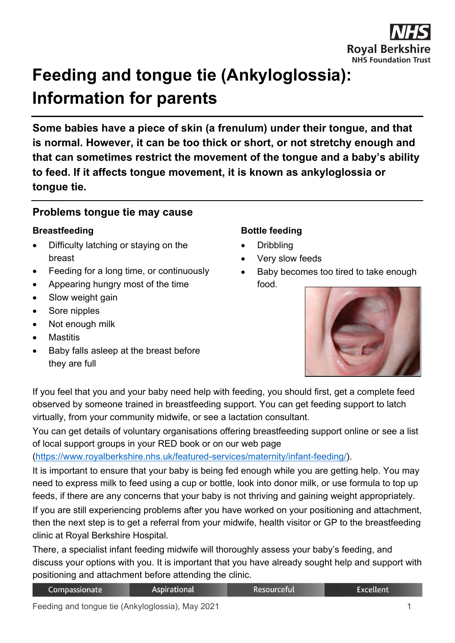

# **Feeding and tongue tie (Ankyloglossia): Information for parents**

**Some babies have a piece of skin (a frenulum) under their tongue, and that is normal. However, it can be too thick or short, or not stretchy enough and that can sometimes restrict the movement of the tongue and a baby's ability to feed. If it affects tongue movement, it is known as ankyloglossia or tongue tie.**

## **Problems tongue tie may cause**

#### **Breastfeeding**

- Difficulty latching or staying on the breast
- Feeding for a long time, or continuously
- Appearing hungry most of the time
- Slow weight gain
- Sore nipples
- Not enough milk
- Mastitis
- Baby falls asleep at the breast before they are full

#### **Bottle feeding**

- Dribbling
- Very slow feeds
- Baby becomes too tired to take enough food.



If you feel that you and your baby need help with feeding, you should first, get a complete feed observed by someone trained in breastfeeding support. You can get feeding support to latch virtually, from your community midwife, or see a lactation consultant.

You can get details of voluntary organisations offering breastfeeding support online or see a list of local support groups in your RED book or on our web page

## [\(https://www.royalberkshire.nhs.uk/featured-services/maternity/infant-feeding/\)](https://www.royalberkshire.nhs.uk/featured-services/maternity/infant-feeding/).

It is important to ensure that your baby is being fed enough while you are getting help. You may need to express milk to feed using a cup or bottle, look into donor milk, or use formula to top up feeds, if there are any concerns that your baby is not thriving and gaining weight appropriately.

If you are still experiencing problems after you have worked on your positioning and attachment, then the next step is to get a referral from your midwife, health visitor or GP to the breastfeeding clinic at Royal Berkshire Hospital.

There, a specialist infant feeding midwife will thoroughly assess your baby's feeding, and discuss your options with you. It is important that you have already sought help and support with positioning and attachment before attending the clinic.

Resourceful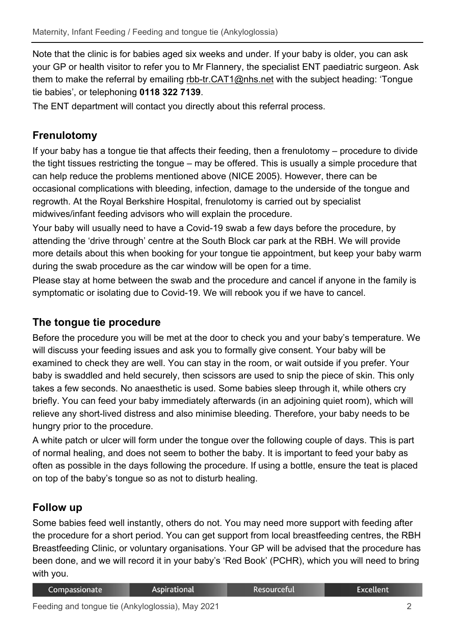Note that the clinic is for babies aged six weeks and under. If your baby is older, you can ask your GP or health visitor to refer you to Mr Flannery, the specialist ENT paediatric surgeon. Ask them to make the referral by emailing [rbb-tr.CAT1@nhs.net](mailto:rbb-tr.CAT1@nhs.net) with the subject heading: 'Tongue tie babies', or telephoning **0118 322 7139**.

The ENT department will contact you directly about this referral process.

## **Frenulotomy**

If your baby has a tongue tie that affects their feeding, then a frenulotomy – procedure to divide the tight tissues restricting the tongue – may be offered. This is usually a simple procedure that can help reduce the problems mentioned above (NICE 2005). However, there can be occasional complications with bleeding, infection, damage to the underside of the tongue and regrowth. At the Royal Berkshire Hospital, frenulotomy is carried out by specialist midwives/infant feeding advisors who will explain the procedure.

Your baby will usually need to have a Covid-19 swab a few days before the procedure, by attending the 'drive through' centre at the South Block car park at the RBH. We will provide more details about this when booking for your tongue tie appointment, but keep your baby warm during the swab procedure as the car window will be open for a time.

Please stay at home between the swab and the procedure and cancel if anyone in the family is symptomatic or isolating due to Covid-19. We will rebook you if we have to cancel.

## **The tongue tie procedure**

Before the procedure you will be met at the door to check you and your baby's temperature. We will discuss your feeding issues and ask you to formally give consent. Your baby will be examined to check they are well. You can stay in the room, or wait outside if you prefer. Your baby is swaddled and held securely, then scissors are used to snip the piece of skin. This only takes a few seconds. No anaesthetic is used. Some babies sleep through it, while others cry briefly. You can feed your baby immediately afterwards (in an adjoining quiet room), which will relieve any short-lived distress and also minimise bleeding. Therefore, your baby needs to be hungry prior to the procedure.

A white patch or ulcer will form under the tongue over the following couple of days. This is part of normal healing, and does not seem to bother the baby. It is important to feed your baby as often as possible in the days following the procedure. If using a bottle, ensure the teat is placed on top of the baby's tongue so as not to disturb healing.

## **Follow up**

Some babies feed well instantly, others do not. You may need more support with feeding after the procedure for a short period. You can get support from local breastfeeding centres, the RBH Breastfeeding Clinic, or voluntary organisations. Your GP will be advised that the procedure has been done, and we will record it in your baby's 'Red Book' (PCHR), which you will need to bring with you.

| Compassionate | Aspirational | . Resourceful' | Excellent |
|---------------|--------------|----------------|-----------|
|               |              |                |           |